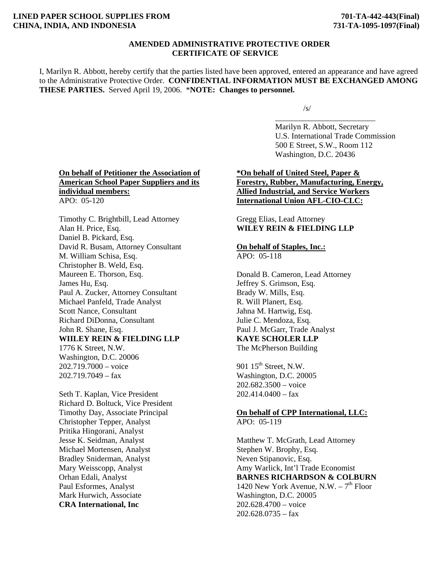# **LINED PAPER SCHOOL SUPPLIES FROM 701-TA-442-443(Final) CHINA, INDIA, AND INDONESIA 731-TA-1095-1097(Final)**

## **AMENDED ADMINISTRATIVE PROTECTIVE ORDER CERTIFICATE OF SERVICE**

I, Marilyn R. Abbott, hereby certify that the parties listed have been approved, entered an appearance and have agreed to the Administrative Protective Order. **CONFIDENTIAL INFORMATION MUST BE EXCHANGED AMONG THESE PARTIES.** Served April 19, 2006. \***NOTE: Changes to personnel.** 

 $\overline{\phantom{a}}$  , and the contract of the contract of the contract of the contract of the contract of the contract of the contract of the contract of the contract of the contract of the contract of the contract of the contrac

 $\sqrt{s/2}$ 

 Marilyn R. Abbott, Secretary U.S. International Trade Commission 500 E Street, S.W., Room 112 Washington, D.C. 20436

# **On behalf of Petitioner the Association of American School Paper Suppliers and its individual members:** APO: 05-120

Timothy C. Brightbill, Lead Attorney Alan H. Price, Esq. Daniel B. Pickard, Esq. David R. Busam, Attorney Consultant M. William Schisa, Esq. Christopher B. Weld, Esq. Maureen E. Thorson, Esq. James Hu, Esq. Paul A. Zucker, Attorney Consultant Michael Panfeld, Trade Analyst Scott Nance, Consultant Richard DiDonna, Consultant John R. Shane, Esq. **WIILEY REIN & FIELDING LLP** 1776 K Street, N.W. Washington, D.C. 20006 202.719.7000 – voice 202.719.7049 – fax

Seth T. Kaplan, Vice President Richard D. Boltuck, Vice President Timothy Day, Associate Principal Christopher Tepper, Analyst Pritika Hingorani, Analyst Jesse K. Seidman, Analyst Michael Mortensen, Analyst Bradley Sniderman, Analyst Mary Weisscopp, Analyst Orhan Edali, Analyst Paul Esformes, Analyst Mark Hurwich, Associate **CRA International, Inc** 

# **\*On behalf of United Steel, Paper & Forestry, Rubber, Manufacturing, Energy, Allied Industrial, and Service Workers International Union AFL-CIO-CLC:**

Gregg Elias, Lead Attorney **WILEY REIN & FIELDING LLP** 

# **On behalf of Staples, Inc.:**

APO: 05-118

Donald B. Cameron, Lead Attorney Jeffrey S. Grimson, Esq. Brady W. Mills, Esq. R. Will Planert, Esq. Jahna M. Hartwig, Esq. Julie C. Mendoza, Esq. Paul J. McGarr, Trade Analyst **KAYE SCHOLER LLP** The McPherson Building

901 15<sup>th</sup> Street, N.W. Washington, D.C. 20005 202.682.3500 – voice  $202.414.0400 - fax$ 

# **On behalf of CPP International, LLC:** APO: 05-119

Matthew T. McGrath, Lead Attorney Stephen W. Brophy, Esq. Neven Stipanovic, Esq. Amy Warlick, Int'l Trade Economist **BARNES RICHARDSON & COLBURN** 1420 New York Avenue, N.W.  $-7<sup>th</sup>$  Floor Washington, D.C. 20005 202.628.4700 – voice  $202.628.0735 - fax$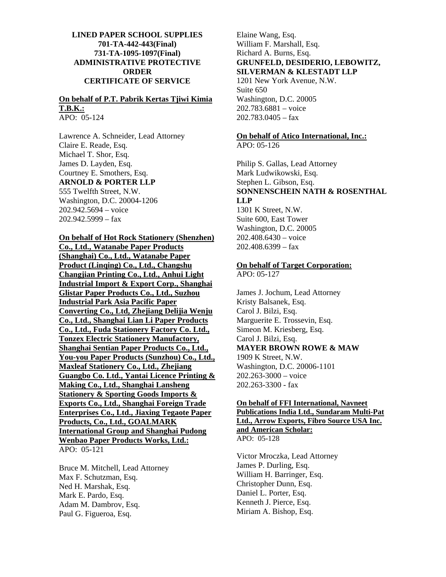# **LINED PAPER SCHOOL SUPPLIES 701-TA-442-443(Final) 731-TA-1095-1097(Final) ADMINISTRATIVE PROTECTIVE ORDER CERTIFICATE OF SERVICE**

#### **On behalf of P.T. Pabrik Kertas Tjiwi Kimia T.B.K.:** APO: 05-124

Lawrence A. Schneider, Lead Attorney Claire E. Reade, Esq. Michael T. Shor, Esq. James D. Layden, Esq. Courtney E. Smothers, Esq. **ARNOLD & PORTER LLP** 555 Twelfth Street, N.W. Washington, D.C. 20004-1206 202.942.5694 – voice  $202.942.5999 - fax$ 

**On behalf of Hot Rock Stationery (Shenzhen) Co., Ltd., Watanabe Paper Products (Shanghai) Co., Ltd., Watanabe Paper Product (Linqing) Co., Ltd., Changshu Changjian Printing Co., Ltd., Anhui Light Industrial Import & Export Corp., Shanghai Glistar Paper Products Co., Ltd., Suzhou Industrial Park Asia Pacific Paper Converting Co., Ltd, Zhejiang Delijia Wenju Co., Ltd., Shanghai Lian Li Paper Products Co., Ltd., Fuda Stationery Factory Co. Ltd., Tonzex Electric Stationery Manufactory, Shanghai Sentian Paper Products Co., Ltd., You-you Paper Products (Sunzhou) Co., Ltd., Maxleaf Stationery Co., Ltd., Zhejiang Guangbo Co. Ltd., Yantai Licence Printing & Making Co., Ltd., Shanghai Lansheng Stationery & Sporting Goods Imports & Exports Co., Ltd., Shanghai Foreign Trade Enterprises Co., Ltd., Jiaxing Tegaote Paper Products, Co., Ltd., GOALMARK International Group and Shanghai Pudong Wenbao Paper Products Works, Ltd.:** APO: 05-121

Bruce M. Mitchell, Lead Attorney Max F. Schutzman, Esq. Ned H. Marshak, Esq. Mark E. Pardo, Esq. Adam M. Dambrov, Esq. Paul G. Figueroa, Esq.

Elaine Wang, Esq. William F. Marshall, Esq. Richard A. Burns, Esq. **GRUNFELD, DESIDERIO, LEBOWITZ, SILVERMAN & KLESTADT LLP** 1201 New York Avenue, N.W. Suite 650 Washington, D.C. 20005 202.783.6881 – voice  $202.783.0405 - fax$ 

# **On behalf of Atico International, Inc.:**

APO: 05-126

Philip S. Gallas, Lead Attorney Mark Ludwikowski, Esq. Stephen L. Gibson, Esq. **SONNENSCHEIN NATH & ROSENTHAL LLP**  1301 K Street, N.W. Suite 600, East Tower Washington, D.C. 20005 202.408.6430 – voice 202.408.6399 – fax

# **On behalf of Target Corporation:**

APO: 05-127

James J. Jochum, Lead Attorney Kristy Balsanek, Esq. Carol J. Bilzi, Esq. Marguerite E. Trossevin, Esq. Simeon M. Kriesberg, Esq. Carol J. Bilzi, Esq. **MAYER BROWN ROWE & MAW**  1909 K Street, N.W. Washington, D.C. 20006-1101 202.263-3000 – voice 202.263-3300 - fax

## **On behalf of FFI International, Navneet Publications India Ltd., Sundaram Multi-Pat Ltd., Arrow Exports, Fibro Source USA Inc. and American Scholar:** APO: 05-128

Victor Mroczka, Lead Attorney James P. Durling, Esq. William H. Barringer, Esq. Christopher Dunn, Esq. Daniel L. Porter, Esq. Kenneth J. Pierce, Esq. Miriam A. Bishop, Esq.